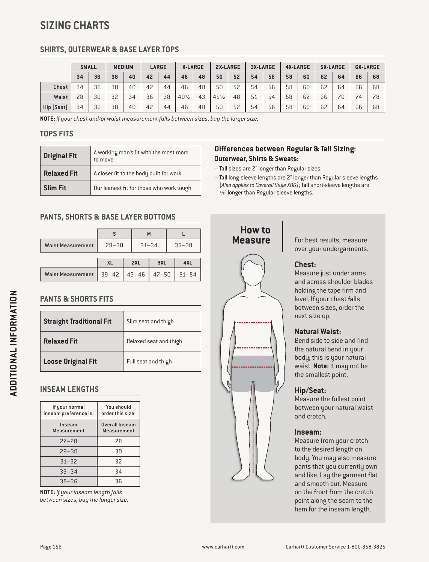# **SIZING CHARTS**

## **SHIRTS, OUTERWEAR & BASE LAYER TOPS**

|            | <b>SMALL</b> |    | <b>MEDIUM</b> |    | LARGE |    | <b>X-LARGE</b>  |    | 2X-LARGE        |    | 3X-LARGE |    | <b>4X-LARGE</b> |    | 5X-LARGE |    | <b>6X-LARGE</b> |    |
|------------|--------------|----|---------------|----|-------|----|-----------------|----|-----------------|----|----------|----|-----------------|----|----------|----|-----------------|----|
|            | 34           | 36 | 38            | 40 | 42    | 44 | 46              | 48 | 50              | 52 | 54       | 56 | 58              | 60 | 62       | 64 | 66              | 68 |
| Chest      | 34           | 36 | 38            | 40 | 42    | 44 | 46              | 48 | 50              | 52 | 54       | 56 | 58              | 60 | 62       | 64 | 66              | 68 |
| Waist      | 28           | 30 | 32            | 34 | 36    | 38 | $40\frac{1}{2}$ | 43 | $45\frac{1}{2}$ | 48 | 51       | 54 | 58              | 62 | 66       | 70 | 74              | 78 |
| Hip (Seat) | 34           | 36 | 38            | 40 | 42    | 44 | 46              | 48 | 50              | 52 | 54       | 56 | 58              | 60 | 62       | 64 | 66              | 68 |

**NOTE:** *If your chest and/or waist measurement falls between sizes, buy the larger size.*

### **TOPS FITS**

| <b>Original Fit</b> | A working man's fit with the most room<br>to move |
|---------------------|---------------------------------------------------|
| <b>Relaxed Fit</b>  | A closer fit to the body built for work           |
| <b>Slim Fit</b>     | Our leanest fit for those who work tough          |

## **PANTS, SHORTS & BASE LAYER BOTTOMS**

|                          |           | M          |           |           |           |  |  |  |
|--------------------------|-----------|------------|-----------|-----------|-----------|--|--|--|
| <b>Waist Measurement</b> | $28 - 30$ | $31 - 34$  |           | $35 - 38$ |           |  |  |  |
|                          |           |            |           |           |           |  |  |  |
|                          | <b>XL</b> | 2XL<br>3XL |           |           | 4XL       |  |  |  |
| <b>Waist Measurement</b> | $39 - 42$ | $43 - 46$  | $47 - 50$ |           | $51 - 54$ |  |  |  |

## **PANTS & SHORTS FITS**

| <b>Straight Traditional Fit</b> | Slim seat and thigh    |
|---------------------------------|------------------------|
| <b>Relaxed Fit</b>              | Relaxed seat and thigh |
| <b>Loose Original Fit</b>       | Full seat and thigh    |

## **INSEAM LENGTHS**

| If your normal<br>inseam preference is: | You should<br>order this size: |
|-----------------------------------------|--------------------------------|
| Inseam<br>Measurement                   | Overall Inseam<br>Measurement  |
| $27 - 28$                               | 28                             |
| $29 - 30$                               | 30                             |
| $31 - 32$                               | 32                             |
| $33 - 34$                               | 34                             |
| $35 - 36$                               | 36                             |

**NOTE:** *If your inseam length falls between sizes, buy the longer size.*

## **Differences between Regular & Tall Sizing: Outerwear, Shirts & Sweats:**

- Tall sizes are 2" longer than Regular sizes.
- Tall long-sleeve lengths are 2" longer than Regular sleeve lengths (*Also applies to Coverall Style X06)*; Tall short-sleeve lengths are ½" longer than Regular sleeve lengths.



For best results, measure over your undergarments.

### **Chest:**

Measure just under arms and across shoulder blades holding the tape firm and level. If your chest falls between sizes, order the next size up.

#### **Natural Waist:**

Bend side to side and find the natural bend in your body; this is your natural waist. **Note:** It may not be the smallest point.

#### **Hip/Seat:**

Measure the fullest point between your natural waist and crotch.

#### **Inseam:**

Measure from your crotch to the desired length on body. You may also measure pants that you currently own and like. Lay the garment flat and smooth out. Measure on the front from the crotch point along the seam to the hem for the inseam length.